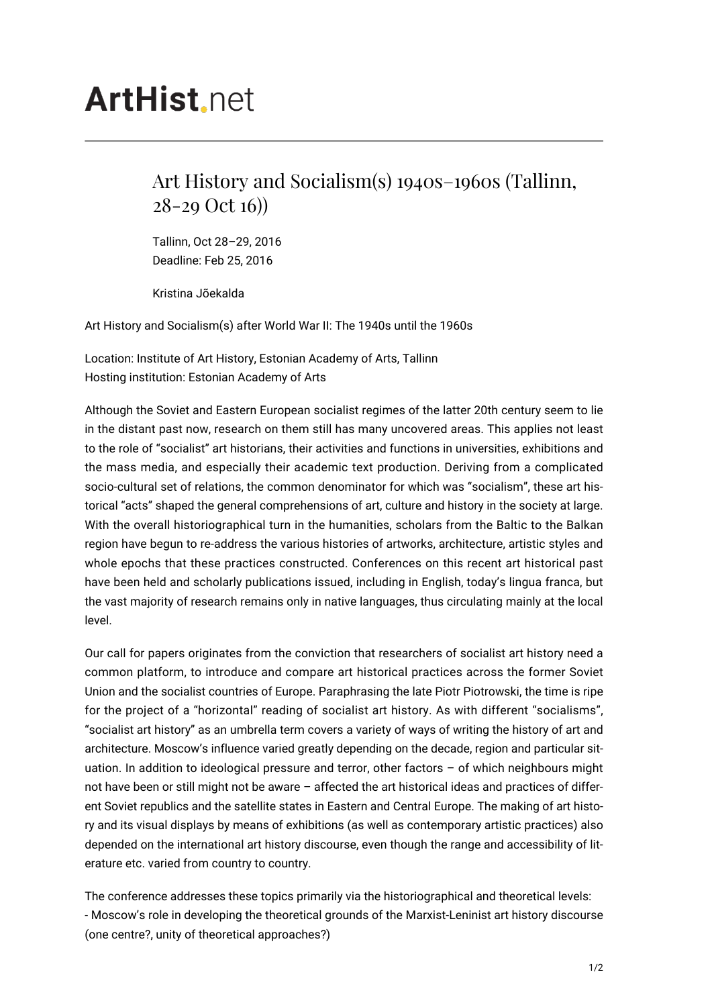## **ArtHist** net

## Art History and Socialism(s) 1940s–1960s (Tallinn, 28-29 Oct 16))

Tallinn, Oct 28–29, 2016 Deadline: Feb 25, 2016

Kristina Jõekalda

Art History and Socialism(s) after World War II: The 1940s until the 1960s

Location: Institute of Art History, Estonian Academy of Arts, Tallinn Hosting institution: Estonian Academy of Arts

Although the Soviet and Eastern European socialist regimes of the latter 20th century seem to lie in the distant past now, research on them still has many uncovered areas. This applies not least to the role of "socialist" art historians, their activities and functions in universities, exhibitions and the mass media, and especially their academic text production. Deriving from a complicated socio-cultural set of relations, the common denominator for which was "socialism", these art historical "acts" shaped the general comprehensions of art, culture and history in the society at large. With the overall historiographical turn in the humanities, scholars from the Baltic to the Balkan region have begun to re-address the various histories of artworks, architecture, artistic styles and whole epochs that these practices constructed. Conferences on this recent art historical past have been held and scholarly publications issued, including in English, today's lingua franca, but the vast majority of research remains only in native languages, thus circulating mainly at the local level.

Our call for papers originates from the conviction that researchers of socialist art history need a common platform, to introduce and compare art historical practices across the former Soviet Union and the socialist countries of Europe. Paraphrasing the late Piotr Piotrowski, the time is ripe for the project of a "horizontal" reading of socialist art history. As with different "socialisms", "socialist art history" as an umbrella term covers a variety of ways of writing the history of art and architecture. Moscow's influence varied greatly depending on the decade, region and particular situation. In addition to ideological pressure and terror, other factors – of which neighbours might not have been or still might not be aware – affected the art historical ideas and practices of different Soviet republics and the satellite states in Eastern and Central Europe. The making of art history and its visual displays by means of exhibitions (as well as contemporary artistic practices) also depended on the international art history discourse, even though the range and accessibility of literature etc. varied from country to country.

The conference addresses these topics primarily via the historiographical and theoretical levels: - Moscow's role in developing the theoretical grounds of the Marxist-Leninist art history discourse (one centre?, unity of theoretical approaches?)